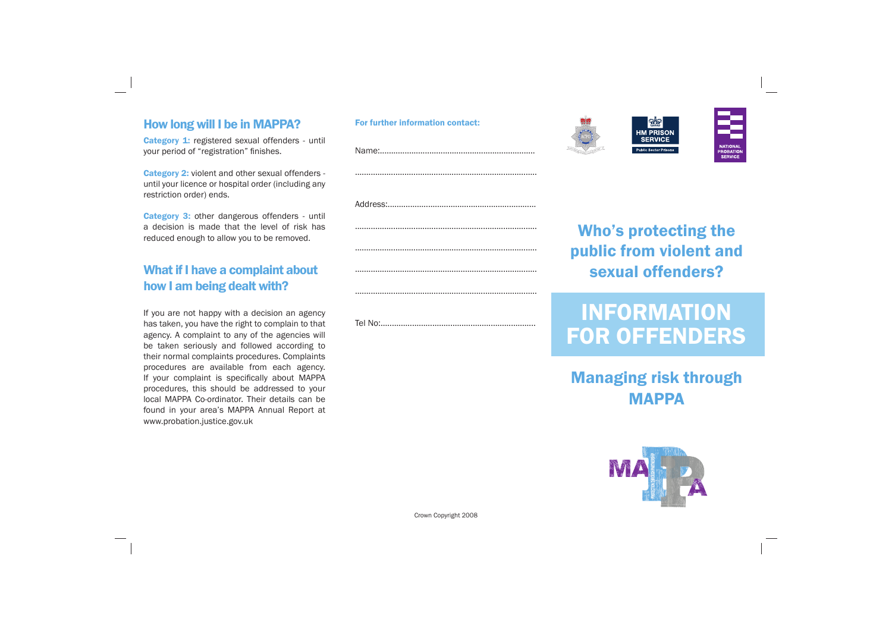### How long will I be in MAPPA?

Category 1: registered sexual offenders - until your period of "registration" finishes.

Category 2: violent and other sexual offenders until your licence or hospital order (including any restriction order) ends.

Category 3: other dangerous offenders - until a decision is made that the level of risk has reduced enough to allow you to be removed.

## What if I have a complaint about how I am being dealt with?

If you are not happy with a decision an agency has taken, you have the right to complain to that agency. A complaint to any of the agencies will be taken seriously and followed according to their normal complaints procedures. Complaints procedures are available from each agency. If your complaint is specifically about MAPPA procedures, this should be addressed to your local MAPPA Co-ordinator. Their details can be found in your area's MAPPA Annual Report at www.probation.justice.gov.uk

# FORMATION FOR OFFENDERS



| For further information contact: |                          |
|----------------------------------|--------------------------|
|                                  |                          |
|                                  | <b>Who</b><br>public     |
|                                  | sex                      |
|                                  | <b>INF</b><br><b>FOR</b> |

Crown Copyright 2008



# 's protecting the public from violent and xual offenders?

# Managing risk through MAPPA

A.

**SERVICE**